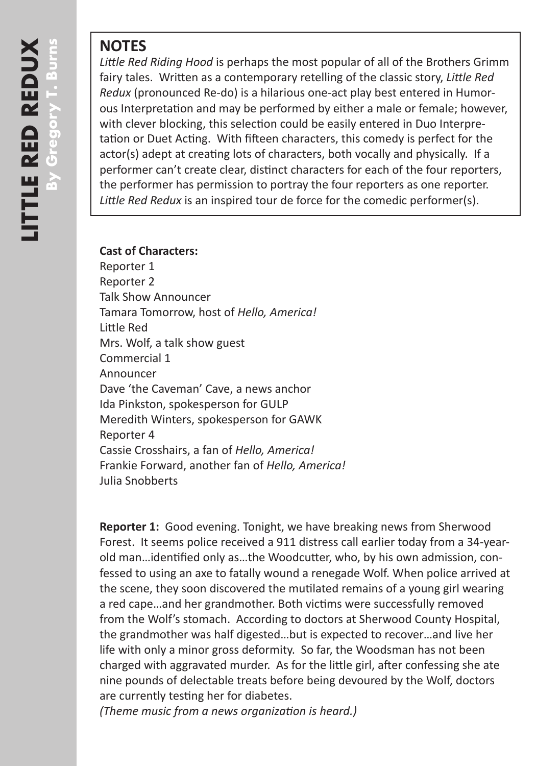## **NOTES**

*Little Red Riding Hood* is perhaps the most popular of all of the Brothers Grimm fairy tales. Written as a contemporary retelling of the classic story, *Little Red Redux* (pronounced Re-do) is a hilarious one-act play best entered in Humorous Interpretation and may be performed by either a male or female; however, with clever blocking, this selection could be easily entered in Duo Interpretation or Duet Acting. With fifteen characters, this comedy is perfect for the actor(s) adept at creating lots of characters, both vocally and physically. If a performer can't create clear, distinct characters for each of the four reporters, the performer has permission to portray the four reporters as one reporter. *Little Red Redux* is an inspired tour de force for the comedic performer(s).

## **Cast of Characters:**

Reporter 1 Reporter 2 Talk Show Announcer Tamara Tomorrow, host of *Hello, America!* Little Red Mrs. Wolf, a talk show guest Commercial 1 Announcer Dave 'the Caveman' Cave, a news anchor Ida Pinkston, spokesperson for GULP Meredith Winters, spokesperson for GAWK Reporter 4 Cassie Crosshairs, a fan of *Hello, America!* Frankie Forward, another fan of *Hello, America!* Julia Snobberts

**Reporter 1:** Good evening. Tonight, we have breaking news from Sherwood Forest. It seems police received a 911 distress call earlier today from a 34-yearold man…identified only as…the Woodcutter, who, by his own admission, confessed to using an axe to fatally wound a renegade Wolf. When police arrived at the scene, they soon discovered the mutilated remains of a young girl wearing a red cape…and her grandmother. Both victims were successfully removed from the Wolf's stomach. According to doctors at Sherwood County Hospital, the grandmother was half digested…but is expected to recover…and live her life with only a minor gross deformity. So far, the Woodsman has not been charged with aggravated murder. As for the little girl, after confessing she ate nine pounds of delectable treats before being devoured by the Wolf, doctors are currently testing her for diabetes.

*(Theme music from a news organization is heard.)*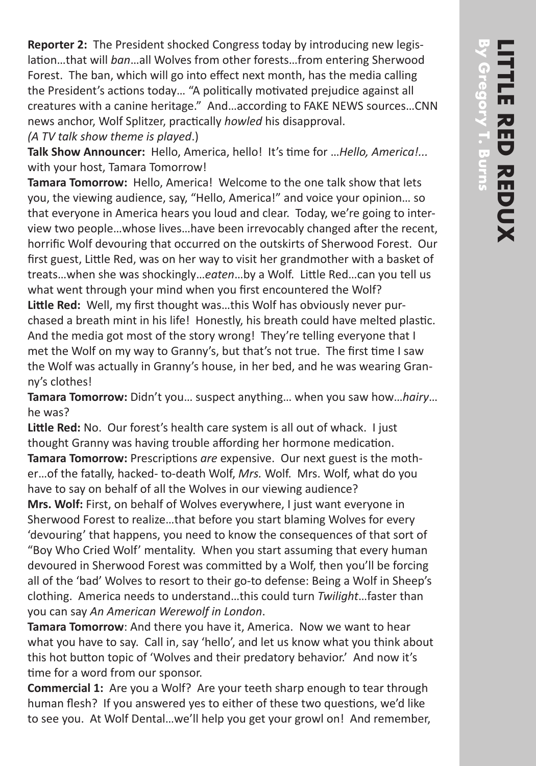**Reporter 2:** The President shocked Congress today by introducing new legislation…that will *ban*…all Wolves from other forests…from entering Sherwood Forest. The ban, which will go into effect next month, has the media calling the President's actions today… "A politically motivated prejudice against all creatures with a canine heritage." And…according to FAKE NEWS sources…CNN news anchor, Wolf Splitzer, practically *howled* his disapproval.

*(A TV talk show theme is played*.)

**Talk Show Announcer:** Hello, America, hello! It's time for …*Hello, America!...* with your host, Tamara Tomorrow!

**Tamara Tomorrow:** Hello, America! Welcome to the one talk show that lets you, the viewing audience, say, "Hello, America!" and voice your opinion… so that everyone in America hears you loud and clear. Today, we're going to interview two people…whose lives…have been irrevocably changed after the recent, horrific Wolf devouring that occurred on the outskirts of Sherwood Forest. Our first guest, Little Red, was on her way to visit her grandmother with a basket of treats…when she was shockingly…*eaten*…by a Wolf. Little Red…can you tell us what went through your mind when you first encountered the Wolf? **Little Red:** Well, my first thought was…this Wolf has obviously never purchased a breath mint in his life! Honestly, his breath could have melted plastic. And the media got most of the story wrong! They're telling everyone that I met the Wolf on my way to Granny's, but that's not true. The first time I saw the Wolf was actually in Granny's house, in her bed, and he was wearing Granny's clothes!

**Tamara Tomorrow:** Didn't you… suspect anything… when you saw how…*hairy*… he was?

**Little Red:** No. Our forest's health care system is all out of whack. I just thought Granny was having trouble affording her hormone medication. **Tamara Tomorrow:** Prescriptions *are* expensive. Our next guest is the mother…of the fatally, hacked- to-death Wolf, *Mrs.* Wolf. Mrs. Wolf, what do you have to say on behalf of all the Wolves in our viewing audience? **Mrs. Wolf:** First, on behalf of Wolves everywhere, I just want everyone in Sherwood Forest to realize…that before you start blaming Wolves for every 'devouring' that happens, you need to know the consequences of that sort of "Boy Who Cried Wolf' mentality. When you start assuming that every human devoured in Sherwood Forest was committed by a Wolf, then you'll be forcing all of the 'bad' Wolves to resort to their go-to defense: Being a Wolf in Sheep's clothing. America needs to understand…this could turn *Twilight*…faster than you can say *An American Werewolf in London*.

**Tamara Tomorrow**: And there you have it, America. Now we want to hear what you have to say. Call in, say 'hello', and let us know what you think about this hot button topic of 'Wolves and their predatory behavior.' And now it's time for a word from our sponsor.

**Commercial 1:** Are you a Wolf? Are your teeth sharp enough to tear through human flesh? If you answered yes to either of these two questions, we'd like to see you. At Wolf Dental…we'll help you get your growl on! And remember,